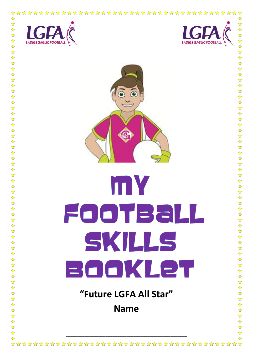



# mY FOOTBall SKILLS BOOKLET "Future LGFA All Star"

**Name** 

 $\frac{\lambda}{\lambda}$ 

 $\frac{1}{\sqrt{2}}$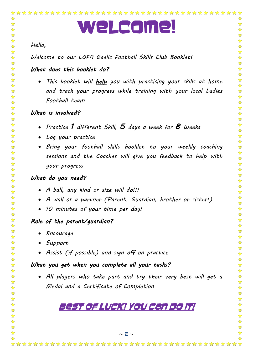# Welcome!

### *Hello,*

☆

☆  $\frac{1}{2}$ 

 $\frac{1}{\sqrt{2}}$ 

外外外外外

2524

2524

 $\frac{1}{\sqrt{2}}$ 50 50  $\frac{1}{\sqrt{2}}$  $\frac{1}{2}$ 

外外  $\frac{1}{2}$ 

琴琴琴琴琴琴琴琴

华琴琴

 $\sum_{i=1}^{n}$  $\frac{1}{2}$  $\frac{1}{2}$  $\frac{1}{2}$  $\frac{1}{\sqrt{2}}$ 

5555

55年

 $\frac{1}{\sqrt{2}}$  $\frac{1}{\sqrt{2}}$  $\frac{1}{\sqrt{2}}$ 

25年  $\frac{1}{\sqrt{2}}$  $\frac{1}{2}$ 55年

 $-\frac{\Sigma}{\Sigma}$  $\frac{\lambda}{\lambda}$ ☆

*Welcome to our LGFA Gaelic Football Skills Club Booklet!* 

# *What does this booklet do?*

 *This booklet will help you with practicing your skills at home and track your progress while training with your local Ladies Football team* 

## *What is involved?*

- *Practice 1 different Skill, 5 days a week for 8 Weeks*
- *Log your practice*
- *Bring your football skills booklet to your weekly coaching sessions and the Coaches will give you feedback to help with your progress*

## *What do you need?*

- *A ball, any kind or size will do!!!*
- *A wall or a partner (Parent, Guardian, brother or sister!)*
- *10 minutes of your time per day!*

# *Role of the parent/guardian?*

- *Encourage*
- *Support*
- *Assist (if possible) and sign off on practice*

# *What you get when you complete all your tasks?*

 *All players who take part and try their very best will get a Medal and a Certificate of Completion* 

# BEST OF LUCK! YOU CAN DO IT!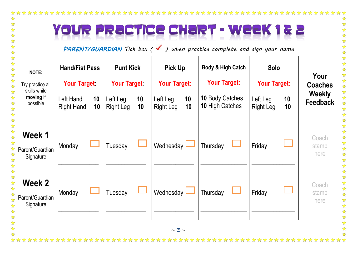☆

 $\frac{1}{\sqrt{2}}$ 

经经济

25 24 24

琴琴琴

经公

公众公众公众公众公众公众公众

# 'OUR PRACTICE CHART - WEEK 182

*PARENT/GUARDIAN Tick box ( ) when practice complete and sign your name*



\*\*\*\*\*\*\*\*\*\*\*\*\*\*\*\*\*\*\*\*\*\*\*\*\*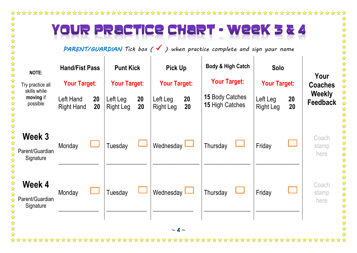☆

 $\frac{1}{\sqrt{2}}$ 

外外外

# YOUR PRACTICE CHART - WEEK 3 & 4

*PARENT/GUARDIAN Tick box ( ) when practice complete and sign your name*

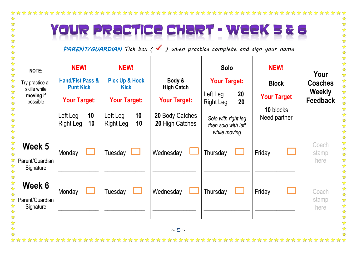### 

#### **CHART - Week UR PRACTICE**  $\mathbf{z}$   $\mathbf{s}$  $\Box$

\*\*\*\*\*\*\*\*

*PARENT/GUARDIAN Tick box ( ) when practice complete and sign your name*

| NOTE:<br>Try practice all<br>skills while<br>moving if<br>possible | <b>NEW!</b><br><b>Hand/Fist Pass &amp;</b><br><b>Punt Kick</b><br><b>Your Target</b><br>Left Leg<br>10<br>10<br>Right Leg | <b>NEW!</b><br><b>Pick Up &amp; Hook</b><br><b>Kick</b><br><b>Your Target:</b><br>10<br>Left Leg<br>Right Leg<br>10 | Body &<br><b>High Catch</b><br><b>Your Target:</b><br>20 Body Catches<br>20 High Catches | <b>Solo</b><br><b>Your Target:</b><br>Left Leg<br>20<br>20<br><b>Right Leg</b><br>Solo with right leg<br>then solo with left<br>while moving | <b>NEW!</b><br><b>Block</b><br><b>Your Target</b><br>10 blocks<br>Need partner | Your<br><b>Coaches</b><br><b>Weekly</b><br><b>Feedback</b> |
|--------------------------------------------------------------------|---------------------------------------------------------------------------------------------------------------------------|---------------------------------------------------------------------------------------------------------------------|------------------------------------------------------------------------------------------|----------------------------------------------------------------------------------------------------------------------------------------------|--------------------------------------------------------------------------------|------------------------------------------------------------|
| Week 5<br>Parent/Guardian<br>Signature                             | Monday                                                                                                                    | Tuesday                                                                                                             | Wednesday                                                                                | Thursday                                                                                                                                     | Friday                                                                         | Coach<br>stamp<br>here                                     |
| Week 6<br>Parent/Guardian<br>Signature                             | Monday                                                                                                                    | Tuesday                                                                                                             | Wednesday                                                                                | Thursday                                                                                                                                     | Friday                                                                         | Coach<br>stamp<br>here                                     |
|                                                                    |                                                                                                                           |                                                                                                                     | $\sim$ 5 $\sim$                                                                          |                                                                                                                                              |                                                                                |                                                            |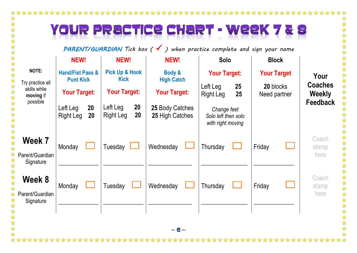#### 

# YOUR PRACTICE CHART - WEEK  $xz$

*PARENT/GUARDIAN Tick box ( ) when practice complete and sign your name*

|                                               | <b>NEW!</b>                                     |          | <b>NEW!</b>                              |                        | <b>NEW!</b>                        |  | <b>Solo</b>                                             |              | <b>Block</b>              |  |                                 |  |
|-----------------------------------------------|-------------------------------------------------|----------|------------------------------------------|------------------------|------------------------------------|--|---------------------------------------------------------|--------------|---------------------------|--|---------------------------------|--|
| <b>NOTE:</b>                                  | <b>Hand/Fist Pass &amp;</b><br><b>Punt Kick</b> |          | <b>Pick Up &amp; Hook</b><br><b>Kick</b> |                        | Body &<br><b>High Catch</b>        |  | <b>Your Target:</b>                                     |              | <b>Your Target</b>        |  | Your                            |  |
| Try practice all<br>skills while<br>moving if | <b>Your Target</b>                              |          | <b>Your Target:</b>                      |                        | <b>Your Target:</b>                |  | Left Leg<br><b>Right Leg</b>                            | $25\,$<br>25 | 20 blocks<br>Need partner |  | <b>Coaches</b><br><b>Weekly</b> |  |
| possible                                      | Left Leg<br><b>Right Leg</b>                    | 20<br>20 | Left Leg<br><b>Right Leg</b>             | <b>20</b><br><b>20</b> | 25 Body Catches<br>25 High Catches |  | Change feet<br>Solo left then solo<br>with right moving |              |                           |  | Feedback                        |  |
| Week 7<br>Parent/Guardian<br>Signature        | Monday                                          |          | Tuesday                                  | └                      | Wednesday                          |  | Thursday                                                |              | Friday                    |  | Coach<br>stamp<br>here          |  |
| Week 8<br>Parent/Guardian<br>Signature        | Monday                                          |          | Tuesday                                  |                        | Wednesday                          |  | Thursday                                                |              | Friday                    |  | Coach<br>stamp<br>here          |  |
| A A A A A A A                                 |                                                 |          |                                          |                        | $\sim$ 6 $\sim$                    |  |                                                         |              |                           |  |                                 |  |

女女女女女女女女女女女女女女女女女女 计数据数据数据数据数据数据数据数据数据 Coach Coach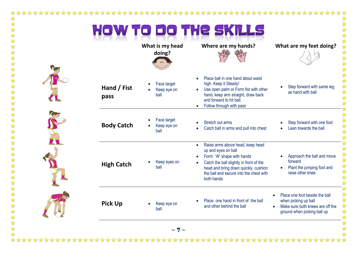☆☆☆☆☆☆☆☆☆☆☆☆☆☆☆☆☆☆☆☆☆☆☆☆☆☆☆☆☆☆☆☆☆☆☆☆☆

|                     | What is my head<br>doing?          | Where are my hands?                                                                                                                                                                                                                                                     | What are my feet doing?                                                                                                                |
|---------------------|------------------------------------|-------------------------------------------------------------------------------------------------------------------------------------------------------------------------------------------------------------------------------------------------------------------------|----------------------------------------------------------------------------------------------------------------------------------------|
| Hand / Fist<br>pass | Face target<br>Keep eye on<br>ball | Place ball in one hand about waist<br>$\bullet$<br>high. Keep it Steady!<br>Use open palm or Form fist with other<br>$\bullet$<br>hand, keep arm straight, draw back<br>and forward to hit ball.<br>Follow through with pass                                            | Step forward with same leg<br>as hand with ball                                                                                        |
| <b>Body Catch</b>   | Face target<br>Keep eye on<br>ball | Stretch out arms<br>$\bullet$<br>Catch ball in arms and pull into chest<br>$\bullet$                                                                                                                                                                                    | Step forward with one foot<br>Lean towards the ball                                                                                    |
| <b>High Catch</b>   | Keep eyes on<br>ball               | Raise arms above head, keep head<br>$\bullet$<br>up and eyes on ball<br>Form 'W' shape with hands<br>$\bullet$<br>Catch the ball slightly in front of the<br>$\bullet$<br>head and bring down quickly, cushion<br>the ball and secure into the chest with<br>both hands | Approach the ball and move<br>forward<br>Plant the jumping foot and<br>$\bullet$<br>raise other knee                                   |
| <b>Pick Up</b>      | Keep eye on<br>ball                | Place one hand in front of the ball<br>and other behind the ball                                                                                                                                                                                                        | Place one foot beside the ball<br>when picking up ball<br>Make sure both knees are off the<br>$\bullet$<br>ground when picking ball up |

 $\frac{1}{\sqrt{2}}$